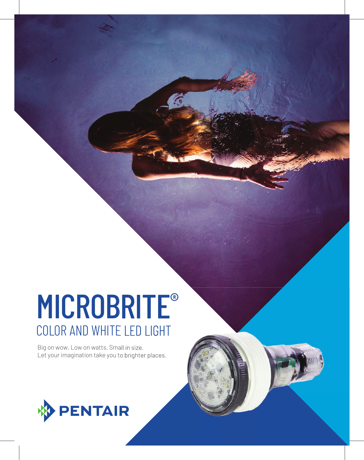# MICROBRITE® COLOR AND WHITE LED LIGHT

Big on wow. Low on watts. Small in size. Let your imagination take you to brighter places.